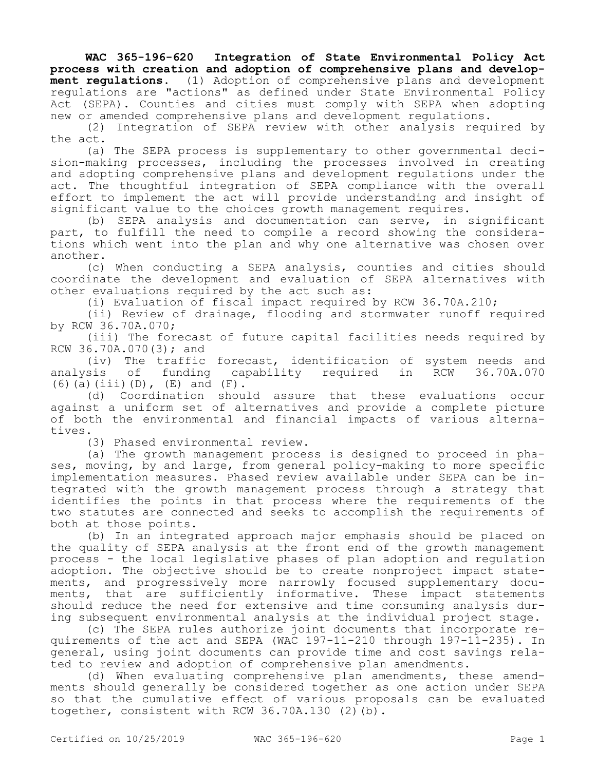**WAC 365-196-620 Integration of State Environmental Policy Act process with creation and adoption of comprehensive plans and development regulations.** (1) Adoption of comprehensive plans and development regulations are "actions" as defined under State Environmental Policy Act (SEPA). Counties and cities must comply with SEPA when adopting new or amended comprehensive plans and development regulations.

(2) Integration of SEPA review with other analysis required by the act.

(a) The SEPA process is supplementary to other governmental decision-making processes, including the processes involved in creating and adopting comprehensive plans and development regulations under the act. The thoughtful integration of SEPA compliance with the overall effort to implement the act will provide understanding and insight of significant value to the choices growth management requires.

(b) SEPA analysis and documentation can serve, in significant part, to fulfill the need to compile a record showing the considerations which went into the plan and why one alternative was chosen over another.

(c) When conducting a SEPA analysis, counties and cities should coordinate the development and evaluation of SEPA alternatives with other evaluations required by the act such as:

(i) Evaluation of fiscal impact required by RCW 36.70A.210;

(ii) Review of drainage, flooding and stormwater runoff required by RCW 36.70A.070;

(iii) The forecast of future capital facilities needs required by RCW 36.70A.070(3); and

(iv) The traffic forecast, identification of system needs and<br>sis of funding capability required in RCW 36.70A.070 analysis of funding capability required in RCW 36.70A.070 (6)(a)(iii)(D), (E) and (F).

(d) Coordination should assure that these evaluations occur against a uniform set of alternatives and provide a complete picture of both the environmental and financial impacts of various alternatives.

(3) Phased environmental review.

(a) The growth management process is designed to proceed in phases, moving, by and large, from general policy-making to more specific implementation measures. Phased review available under SEPA can be integrated with the growth management process through a strategy that identifies the points in that process where the requirements of the two statutes are connected and seeks to accomplish the requirements of both at those points.

(b) In an integrated approach major emphasis should be placed on the quality of SEPA analysis at the front end of the growth management process - the local legislative phases of plan adoption and regulation adoption. The objective should be to create nonproject impact statements, and progressively more narrowly focused supplementary documents, that are sufficiently informative. These impact statements should reduce the need for extensive and time consuming analysis during subsequent environmental analysis at the individual project stage.

(c) The SEPA rules authorize joint documents that incorporate requirements of the act and SEPA (WAC 197-11-210 through 197-11-235). In general, using joint documents can provide time and cost savings related to review and adoption of comprehensive plan amendments.

(d) When evaluating comprehensive plan amendments, these amendments should generally be considered together as one action under SEPA so that the cumulative effect of various proposals can be evaluated together, consistent with RCW 36.70A.130 (2)(b).